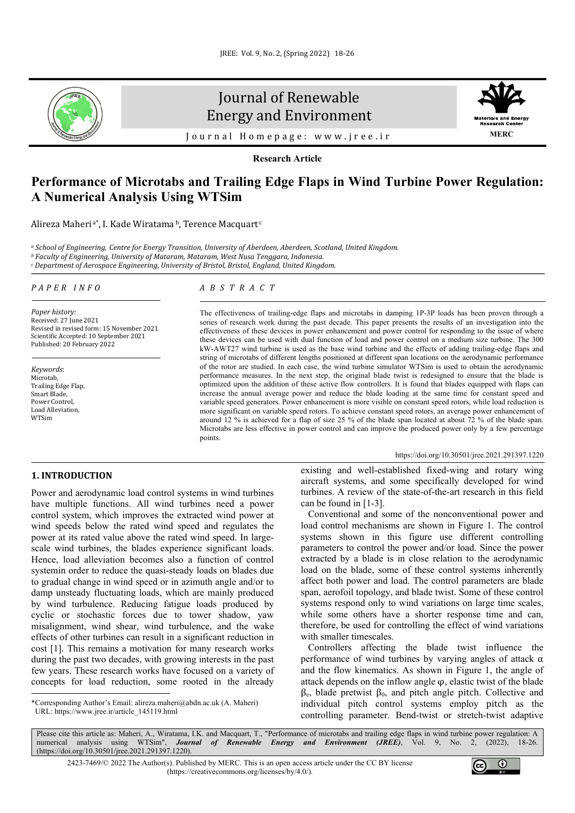

# Journal of Renewable Energy and Environment



Journal Homepage: [www.jree.ir](http://www.jree.ir/)

**Research Article**

# **Performance of Microtabs and Trailing Edge Flaps in Wind Turbine Power Regulation: A Numerical Analysis Using WTSim**

Alireza Maheri<sup>a\*</sup>, I. Kade Wiratama<sup>b</sup>, Terence Macquart<sup>c</sup>

<sup>a</sup> School of Engineering, Centre for Energy Transition, University of Aberdeen, Aberdeen, Scotland, United Kingdom.<br><sup>b</sup> Faculty of Engineering, University of Mataram, Mataram, West Nusa Tenggara, Indonesia.

*<sup>c</sup> Department of Aerospace Engineering, University of Bristol, Bristol, England, United Kingdom.*

#### *PAPER INFO*

*Paper history:* Received: 27 June 2021 Revised in revised form: 15 November 2021 Scientific Accepted: 10 September 2021 Published: 20 February 2022

*Keywords*: Microtab, Trailing Edge Flap, Smart Blade, Power Control, Load Alleviation, WTSim

# *ABSTRACT*

The effectiveness of trailing-edge flaps and microtabs in damping 1P-3P loads has been proven through a series of research work during the past decade. This paper presents the results of an investigation into the effectiveness of these devices in power enhancement and power control for responding to the issue of where these devices can be used with dual function of load and power control on a medium size turbine. The 300 kW-AWT27 wind turbine is used as the base wind turbine and the effects of adding trailing-edge flaps and string of microtabs of different lengths positioned at different span locations on the aerodynamic performance of the rotor are studied. In each case, the wind turbine simulator WTSim is used to obtain the aerodynamic performance measures. In the next step, the original blade twist is redesigned to ensure that the blade is optimized upon the addition of these active flow controllers. It is found that blades equipped with flaps can increase the annual average power and reduce the blade loading at the same time for constant speed and variable speed generators. Power enhancement is more visible on constant speed rotors, while load reduction is more significant on variable speed rotors. To achieve constant speed rotors, an average power enhancement of around 12 % is achieved for a flap of size 25 % of the blade span located at about 72 % of the blade span. Microtabs are less effective in power control and can improve the produced power only by a few percentage points.

#### <https://doi.org/10.30501/jree.2021.291397.1220>

# **1. INTRODUCTION[1](#page-0-0)**

Power and aerodynamic load control systems in wind turbines have multiple functions. All wind turbines need a power control system, which improves the extracted wind power at wind speeds below the rated wind speed and regulates the power at its rated value above the rated wind speed. In largescale wind turbines, the blades experience significant loads. Hence, load alleviation becomes also a function of control systemin order to reduce the quasi-steady loads on blades due to gradual change in wind speed or in azimuth angle and/or to damp unsteady fluctuating loads, which are mainly produced by wind turbulence. Reducing fatigue loads produced by cyclic or stochastic forces due to tower shadow, yaw misalignment, wind shear, wind turbulence, and the wake effects of other turbines can result in a significant reduction in cost [1]. This remains a motivation for many research works during the past two decades, with growing interests in the past few years. These research works have focused on a variety of concepts for load reduction, some rooted in the already

<span id="page-0-0"></span>\*Corresponding Author's Email[: alireza.maheri@abdn.ac.uk](mailto:alireza.maheri@abdn.ac.uk) (A. Maheri) URL[: https://www.jree.ir/article\\_145119.html](https://www.jree.ir/article_145119.html)

existing and well-established fixed-wing and rotary wing aircraft systems, and some specifically developed for wind turbines. A review of the state-of-the-art research in this field can be found in [1-3].

 Conventional and some of the nonconventional power and load control mechanisms are shown in Figure 1. The control systems shown in this figure use different controlling parameters to control the power and/or load. Since the power extracted by a blade is in close relation to the aerodynamic load on the blade, some of these control systems inherently affect both power and load. The control parameters are blade span, aerofoil topology, and blade twist. Some of these control systems respond only to wind variations on large time scales, while some others have a shorter response time and can, therefore, be used for controlling the effect of wind variations with smaller timescales.

 Controllers affecting the blade twist influence the performance of wind turbines by varying angles of attack α and the flow kinematics. As shown in Figure 1, the angle of attack depends on the inflow angle  $\varphi$ , elastic twist of the blade  $β<sub>e</sub>$ , blade pretwist  $β<sub>0</sub>$ , and pitch angle pitch. Collective and individual pitch control systems employ pitch as the controlling parameter. Bend-twist or stretch-twist adaptive

Please cite this article as: Maheri, A., Wiratama, I.K. and Macquart, T., "Performance of microtabs and trailing edge flaps in wind turbine power regulation: A numerical analysis using WTSim", **Journal of Renewable Energy Energy and Environment (JREE)**, Vol. 9, No. [\(https://doi.org/10.30501/jree.2021.291397.1220\)](https://doi.org/10.30501/jree.2021.291397.1220).

2423-7469/© 2022 The Author(s). Published by [MERC.](https://en.merc.ac.ir/) This is an open access article under the CC BY license [\(https://creativecommons.org/licenses/by/4.0/\)](https://creativecommons.org/licenses/by/4.0/).

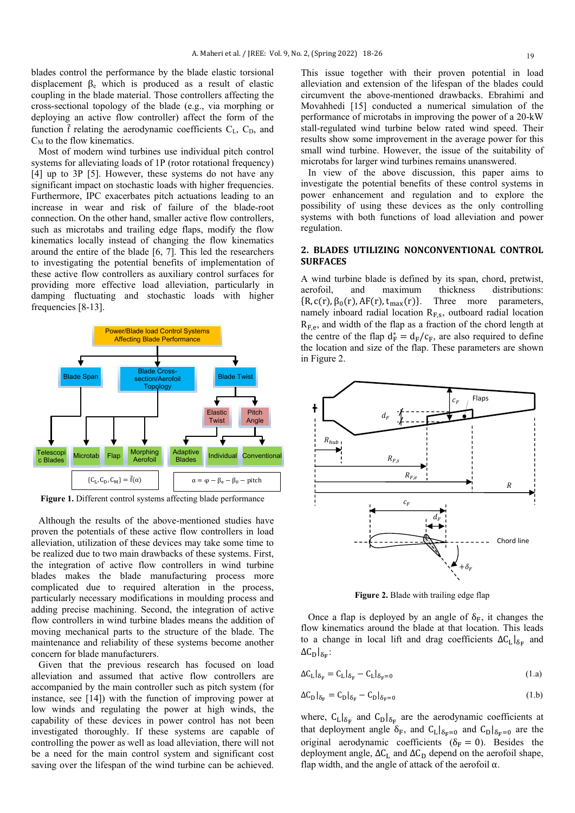blades control the performance by the blade elastic torsional displacement β<sup>e</sup> which is produced as a result of elastic coupling in the blade material. Those controllers affecting the cross-sectional topology of the blade (e.g., via morphing or deploying an active flow controller) affect the form of the function  $\vec{f}$  relating the aerodynamic coefficients  $C_{L}$ ,  $C_{D}$ , and  $C_M$  to the flow kinematics.

 Most of modern wind turbines use individual pitch control systems for alleviating loads of 1P (rotor rotational frequency) [4] up to 3P [5]. However, these systems do not have any significant impact on stochastic loads with higher frequencies. Furthermore, IPC exacerbates pitch actuations leading to an increase in wear and risk of failure of the blade-root connection. On the other hand, smaller active flow controllers, such as microtabs and trailing edge flaps, modify the flow kinematics locally instead of changing the flow kinematics around the entire of the blade [6, 7]. This led the researchers to investigating the potential benefits of implementation of these active flow controllers as auxiliary control surfaces for providing more effective load alleviation, particularly in damping fluctuating and stochastic loads with higher frequencies [8-13].



**Figure 1.** Different control systems affecting blade performance

 Although the results of the above-mentioned studies have proven the potentials of these active flow controllers in load alleviation, utilization of these devices may take some time to be realized due to two main drawbacks of these systems. First, the integration of active flow controllers in wind turbine blades makes the blade manufacturing process more complicated due to required alteration in the process, particularly necessary modifications in moulding process and adding precise machining. Second, the integration of active flow controllers in wind turbine blades means the addition of moving mechanical parts to the structure of the blade. The maintenance and reliability of these systems become another concern for blade manufacturers.

 Given that the previous research has focused on load alleviation and assumed that active flow controllers are accompanied by the main controller such as pitch system (for instance, see [14]) with the function of improving power at low winds and regulating the power at high winds, the capability of these devices in power control has not been investigated thoroughly. If these systems are capable of controlling the power as well as load alleviation, there will not be a need for the main control system and significant cost saving over the lifespan of the wind turbine can be achieved.

This issue together with their proven potential in load alleviation and extension of the lifespan of the blades could circumvent the above-mentioned drawbacks. Ebrahimi and Movahhedi [15] conducted a numerical simulation of the performance of microtabs in improving the power of a 20-kW stall-regulated wind turbine below rated wind speed. Their results show some improvement in the average power for this small wind turbine. However, the issue of the suitability of microtabs for larger wind turbines remains unanswered.

 In view of the above discussion, this paper aims to investigate the potential benefits of these control systems in power enhancement and regulation and to explore the possibility of using these devices as the only controlling systems with both functions of load alleviation and power regulation.

### **2. BLADES UTILIZING NONCONVENTIONAL CONTROL SURFACES**

A wind turbine blade is defined by its span, chord, pretwist, aerofoil, and maximum thickness distributions:  ${R, c(r), \beta_0(r), AF(r), t_{max}(r)}$ . Three more parameters, namely inboard radial location  $R_{F,s}$ , outboard radial location  $R_{F,e}$ , and width of the flap as a fraction of the chord length at the centre of the flap  $d_F^* = d_F/c_F$ , are also required to define the location and size of the flap. These parameters are shown in Figure 2.



Figure 2. Blade with trailing edge flap

Once a flap is deployed by an angle of  $\delta_F$ , it changes the flow kinematics around the blade at that location. This leads to a change in local lift and drag coefficients  $\Delta C_L|_{\delta_F}$  and  $\Delta C_{\text{D}}|_{\delta_E}$ :

$$
\Delta C_{\mathcal{L}}|_{\delta_{\mathcal{F}}} = C_{\mathcal{L}}|_{\delta_{\mathcal{F}}} - C_{\mathcal{L}}|_{\delta_{\mathcal{F}}=0} \tag{1.a}
$$

$$
\Delta C_{\rm D}|_{\delta_{\rm F}} = C_{\rm D}|_{\delta_{\rm F}} - C_{\rm D}|_{\delta_{\rm F}=0} \tag{1.b}
$$

where,  $C_L|_{\delta_F}$  and  $C_D|_{\delta_F}$  are the aerodynamic coefficients at that deployment angle  $\delta_F$ , and  $C_L|_{\delta_F=0}$  and  $C_D|_{\delta_F=0}$  are the original aerodynamic coefficients ( $\delta_F = 0$ ). Besides the deployment angle,  $\Delta C_L$  and  $\Delta C_D$  depend on the aerofoil shape, flap width, and the angle of attack of the aerofoil  $\alpha$ .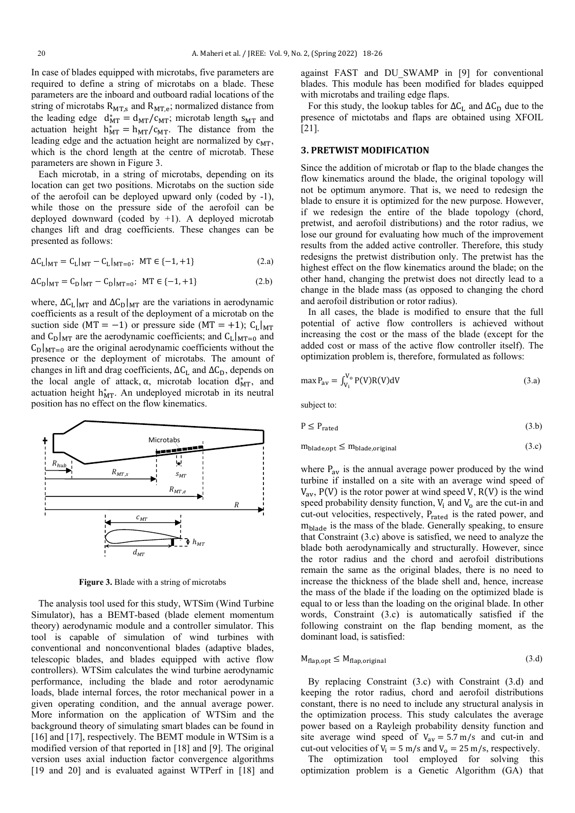In case of blades equipped with microtabs, five parameters are required to define a string of microtabs on a blade. These parameters are the inboard and outboard radial locations of the string of microtabs  $R_{MT,s}$  and  $R_{MT,e}$ ; normalized distance from the leading edge  $d_{MT}^* = d_{MT}/c_{MT}$ ; microtab length s<sub>MT</sub> and actuation height  $h_{MT}^* = h_{MT}/c_{MT}$ . The distance from the leading edge and the actuation height are normalized by  $c_{MT}$ , which is the chord length at the centre of microtab. These parameters are shown in Figure 3.

 Each microtab, in a string of microtabs, depending on its location can get two positions. Microtabs on the suction side of the aerofoil can be deployed upward only (coded by -1), while those on the pressure side of the aerofoil can be deployed downward (coded by  $+1$ ). A deployed microtab changes lift and drag coefficients. These changes can be presented as follows:

$$
\Delta C_{L}|_{MT} = C_{L}|_{MT} - C_{L}|_{MT=0}; \quad MT \in \{-1, +1\}
$$
 (2.a)

$$
\Delta C_{\rm D}|_{\rm MT} = C_{\rm D}|_{\rm MT} - C_{\rm D}|_{\rm MT=0}; \quad \text{MT} \in \{-1, +1\} \tag{2.b}
$$

where,  $\Delta C_L|_{MT}$  and  $\Delta C_D|_{MT}$  are the variations in aerodynamic coefficients as a result of the deployment of a microtab on the suction side (MT = -1) or pressure side (MT = +1);  $C_L|_{MT}$ and  $C_D|_{MT}$  are the aerodynamic coefficients; and  $C_L|_{MT=0}$  and  $C_D|_{MT=0}$  are the original aerodynamic coefficients without the presence or the deployment of microtabs. The amount of changes in lift and drag coefficients,  $\Delta C_L$  and  $\Delta C_D$ , depends on the local angle of attack,  $\alpha$ , microtab location  $d_{\text{MT}}^*$ , and actuation height  $h_{MT}^*$ . An undeployed microtab in its neutral position has no effect on the flow kinematics.



**Figure 3.** Blade with a string of microtabs

 The analysis tool used for this study, WTSim (Wind Turbine Simulator), has a BEMT-based (blade element momentum theory) aerodynamic module and a controller simulator. This tool is capable of simulation of wind turbines with conventional and nonconventional blades (adaptive blades, telescopic blades, and blades equipped with active flow controllers). WTSim calculates the wind turbine aerodynamic performance, including the blade and rotor aerodynamic loads, blade internal forces, the rotor mechanical power in a given operating condition, and the annual average power. More information on the application of WTSim and the background theory of simulating smart blades can be found in [16] and [17], respectively. The BEMT module in WTSim is a modified version of that reported in [18] and [9]. The original version uses axial induction factor convergence algorithms [19 and 20] and is evaluated against WTPerf in [18] and

against FAST and DU\_SWAMP in [9] for conventional blades. This module has been modified for blades equipped with microtabs and trailing edge flaps.

For this study, the lookup tables for  $\Delta C_L$  and  $\Delta C_D$  due to the presence of mictotabs and flaps are obtained using XFOIL [21].

#### **3. PRETWIST MODIFICATION**

Since the addition of microtab or flap to the blade changes the flow kinematics around the blade, the original topology will not be optimum anymore. That is, we need to redesign the blade to ensure it is optimized for the new purpose. However, if we redesign the entire of the blade topology (chord, pretwist, and aerofoil distributions) and the rotor radius, we lose our ground for evaluating how much of the improvement results from the added active controller. Therefore, this study redesigns the pretwist distribution only. The pretwist has the highest effect on the flow kinematics around the blade; on the other hand, changing the pretwist does not directly lead to a change in the blade mass (as opposed to changing the chord and aerofoil distribution or rotor radius).

 In all cases, the blade is modified to ensure that the full potential of active flow controllers is achieved without increasing the cost or the mass of the blade (except for the added cost or mass of the active flow controller itself). The optimization problem is, therefore, formulated as follows:

$$
\max P_{\text{av}} = \int_{V_1}^{V_0} P(V)R(V) \,dV\tag{3.a}
$$

subject to:

$$
P \le P_{\text{rated}} \tag{3.b}
$$

$$
m_{\text{blade}, \text{opt}} \le m_{\text{blade}, \text{original}} \tag{3.c}
$$

where  $P_{av}$  is the annual average power produced by the wind turbine if installed on a site with an average wind speed of  $V_{av}$ ,  $P(V)$  is the rotor power at wind speed V,  $R(V)$  is the wind speed probability density function,  $V_i$  and  $V_o$  are the cut-in and cut-out velocities, respectively, Prated is the rated power, and mblade is the mass of the blade. Generally speaking, to ensure that Constraint (3.c) above is satisfied, we need to analyze the blade both aerodynamically and structurally. However, since the rotor radius and the chord and aerofoil distributions remain the same as the original blades, there is no need to increase the thickness of the blade shell and, hence, increase the mass of the blade if the loading on the optimized blade is equal to or less than the loading on the original blade. In other words, Constraint (3.c) is automatically satisfied if the following constraint on the flap bending moment, as the dominant load, is satisfied:

$$
M_{\text{flap,opt}} \le M_{\text{flap,original}} \tag{3. d}
$$

 By replacing Constraint (3.c) with Constraint (3.d) and keeping the rotor radius, chord and aerofoil distributions constant, there is no need to include any structural analysis in the optimization process. This study calculates the average power based on a Rayleigh probability density function and site average wind speed of  $V_{av} = 5.7 \text{ m/s}$  and cut-in and cut-out velocities of  $V_i = 5$  m/s and  $V_o = 25$  m/s, respectively.

 The optimization tool employed for solving this optimization problem is a Genetic Algorithm (GA) that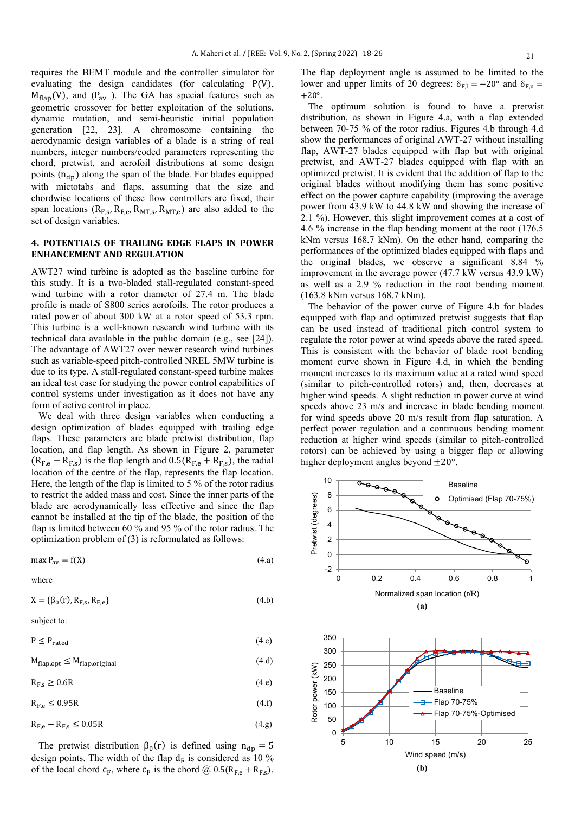requires the BEMT module and the controller simulator for evaluating the design candidates (for calculating P(V),  $M_{\text{flap}}(V)$ , and  $(P_{\text{av}})$ . The GA has special features such as geometric crossover for better exploitation of the solutions, dynamic mutation, and semi-heuristic initial population generation [22, 23]. A chromosome containing the aerodynamic design variables of a blade is a string of real numbers, integer numbers/coded parameters representing the chord, pretwist, and aerofoil distributions at some design points  $(n_{dn})$  along the span of the blade. For blades equipped with mictotabs and flaps, assuming that the size and chordwise locations of these flow controllers are fixed, their span locations ( $R_{F,s}$ ,  $R_{F,e}$ ,  $R_{MT,s}$ ,  $R_{MT,e}$ ) are also added to the set of design variables.

#### **4. POTENTIALS OF TRAILING EDGE FLAPS IN POWER ENHANCEMENT AND REGULATION**

AWT27 wind turbine is adopted as the baseline turbine for this study. It is a two-bladed stall-regulated constant-speed wind turbine with a rotor diameter of 27.4 m. The blade profile is made of S800 series aerofoils. The rotor produces a rated power of about 300 kW at a rotor speed of 53.3 rpm. This turbine is a well-known research wind turbine with its technical data available in the public domain (e.g., see [24]). The advantage of AWT27 over newer research wind turbines such as variable-speed pitch-controlled NREL 5MW turbine is due to its type. A stall-regulated constant-speed turbine makes an ideal test case for studying the power control capabilities of control systems under investigation as it does not have any form of active control in place.

 We deal with three design variables when conducting a design optimization of blades equipped with trailing edge flaps. These parameters are blade pretwist distribution, flap location, and flap length. As shown in Figure 2, parameter  $(R_{Fe} - R_{Fs})$  is the flap length and  $0.5(R_{Fe} + R_{Fs})$ , the radial location of the centre of the flap, represents the flap location. Here, the length of the flap is limited to 5 % of the rotor radius to restrict the added mass and cost. Since the inner parts of the blade are aerodynamically less effective and since the flap cannot be installed at the tip of the blade, the position of the flap is limited between 60 % and 95 % of the rotor radius. The optimization problem of (3) is reformulated as follows:

$$
\max P_{\text{av}} = f(X) \tag{4.a}
$$

where

 $X = {\beta_0(r), R_{F,s}, R_{Fe}}$  (4.b)

subject to:

 $P \leq P_{\text{rated}}$  (4.c)

$$
M_{\text{flap,opt}} \le M_{\text{flap,original}} \tag{4. d}
$$

 $R_{F,s} \geq 0.6R$  (4.e)

 $R_{F,e} \le 0.95R$  (4.f)

$$
R_{F,e} - R_{F,s} \le 0.05R
$$
\n
$$
(4.9)
$$

The pretwist distribution  $\beta_0(r)$  is defined using  $n_{dp} = 5$ design points. The width of the flap  $d_F$  is considered as 10 % of the local chord  $c_F$ , where  $c_F$  is the chord @ 0.5( $R_{F,e}$  +  $R_{F,s}$ ).

The flap deployment angle is assumed to be limited to the lower and upper limits of 20 degrees:  $\delta_{F,l} = -20^{\circ}$  and  $\delta_{F,u} =$  $+20^\circ$ .

 The optimum solution is found to have a pretwist distribution, as shown in Figure 4.a, with a flap extended between 70-75 % of the rotor radius. Figures 4.b through 4.d show the performances of original AWT-27 without installing flap, AWT-27 blades equipped with flap but with original pretwist, and AWT-27 blades equipped with flap with an optimized pretwist. It is evident that the addition of flap to the original blades without modifying them has some positive effect on the power capture capability (improving the average power from 43.9 kW to 44.8 kW and showing the increase of 2.1 %). However, this slight improvement comes at a cost of 4.6 % increase in the flap bending moment at the root (176.5 kNm versus 168.7 kNm). On the other hand, comparing the performances of the optimized blades equipped with flaps and the original blades, we observe a significant 8.84 % improvement in the average power (47.7 kW versus 43.9 kW) as well as a 2.9 % reduction in the root bending moment (163.8 kNm versus 168.7 kNm).

 The behavior of the power curve of Figure 4.b for blades equipped with flap and optimized pretwist suggests that flap can be used instead of traditional pitch control system to regulate the rotor power at wind speeds above the rated speed. This is consistent with the behavior of blade root bending moment curve shown in Figure 4.d, in which the bending moment increases to its maximum value at a rated wind speed (similar to pitch-controlled rotors) and, then, decreases at higher wind speeds. A slight reduction in power curve at wind speeds above 23 m/s and increase in blade bending moment for wind speeds above 20 m/s result from flap saturation. A perfect power regulation and a continuous bending moment reduction at higher wind speeds (similar to pitch-controlled rotors) can be achieved by using a bigger flap or allowing higher deployment angles beyond  $\pm 20^{\circ}$ .

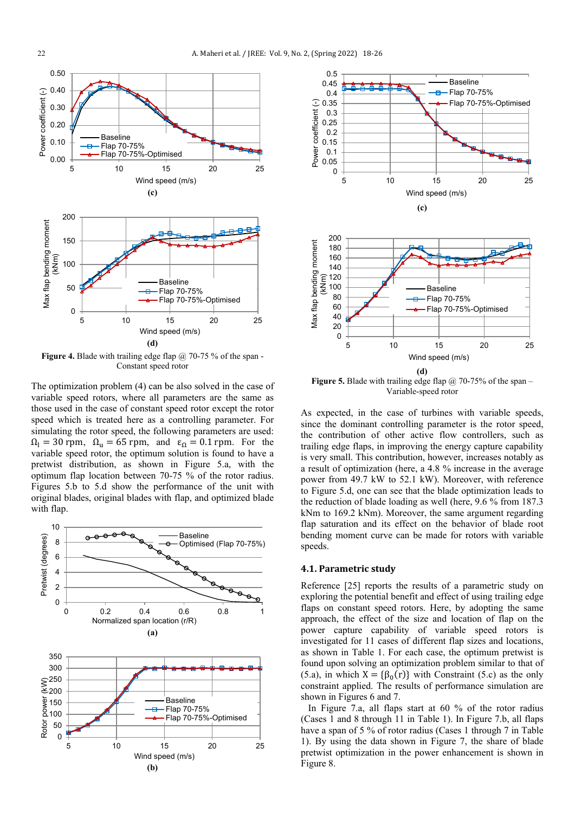

**Figure 4.** Blade with trailing edge flap @ 70-75 % of the span -Constant speed rotor

The optimization problem (4) can be also solved in the case of variable speed rotors, where all parameters are the same as those used in the case of constant speed rotor except the rotor speed which is treated here as a controlling parameter. For simulating the rotor speed, the following parameters are used:  $\Omega_l = 30$  rpm,  $\Omega_u = 65$  rpm, and  $\varepsilon_{\Omega} = 0.1$  rpm. For the variable speed rotor, the optimum solution is found to have a pretwist distribution, as shown in Figure 5.a, with the optimum flap location between 70-75 % of the rotor radius. Figures 5.b to 5.d show the performance of the unit with original blades, original blades with flap, and optimized blade with flap.





**Figure 5.** Blade with trailing edge flap @ 70-75% of the span – Variable-speed rotor

As expected, in the case of turbines with variable speeds, since the dominant controlling parameter is the rotor speed, the contribution of other active flow controllers, such as trailing edge flaps, in improving the energy capture capability is very small. This contribution, however, increases notably as a result of optimization (here, a 4.8 % increase in the average power from 49.7 kW to 52.1 kW). Moreover, with reference to Figure 5.d, one can see that the blade optimization leads to the reduction of blade loading as well (here, 9.6 % from 187.3 kNm to 169.2 kNm). Moreover, the same argument regarding flap saturation and its effect on the behavior of blade root bending moment curve can be made for rotors with variable speeds.

#### **4.1. Parametric study**

Reference [25] reports the results of a parametric study on exploring the potential benefit and effect of using trailing edge flaps on constant speed rotors. Here, by adopting the same approach, the effect of the size and location of flap on the power capture capability of variable speed rotors is investigated for 11 cases of different flap sizes and locations, as shown in Table 1. For each case, the optimum pretwist is found upon solving an optimization problem similar to that of (5.a), in which  $X = {\beta_0(r)}$  with Constraint (5.c) as the only constraint applied. The results of performance simulation are shown in Figures 6 and 7.

 In Figure 7.a, all flaps start at 60 % of the rotor radius (Cases 1 and 8 through 11 in Table 1). In Figure 7.b, all flaps have a span of 5 % of rotor radius (Cases 1 through 7 in Table 1). By using the data shown in Figure 7, the share of blade pretwist optimization in the power enhancement is shown in Figure 8.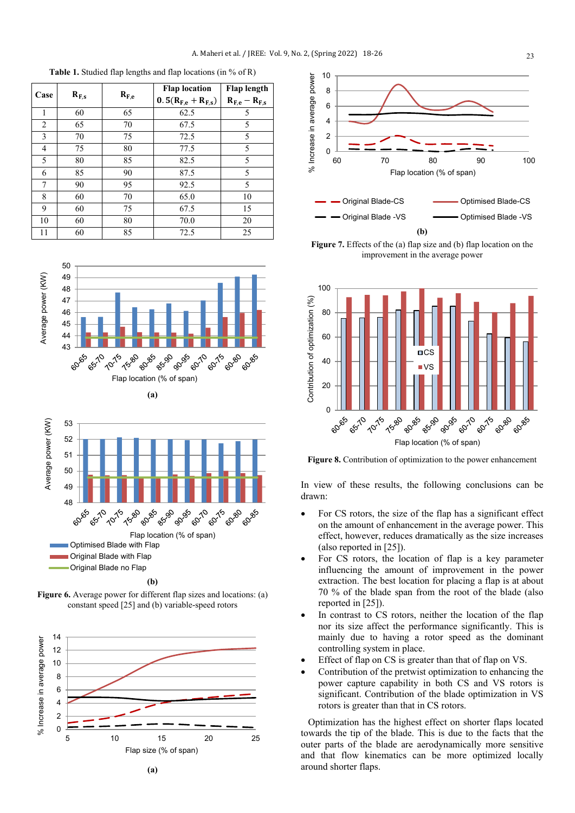$\begin{array}{|c|c|c|c|c|} \hline \textbf{Case} & \textbf{R}_{F,s} & \textbf{R}_{F,e} \hline \end{array}$ **Flap location** 0.  $5(R_{F,e} + R_{F,s})$ <br>62.5 **Flap length**  $\frac{R_{F,e} - R_{F,s}}{5}$ 1 60 65 62.5 5 2 65 70 67.5 5 3 70 75 72.5 5 4 75 80 77.5 5 5 80 85 82.5 5 6 85 90 87.5 5 7 90 95 92.5 5 8 60 70 65.0 10 9 60 75 67.5 15 10 60 80 70.0 20 11 60 85 72.5 25

**Table 1.** Studied flap lengths and flap locations (in % of R)





Figure 6. Average power for different flap sizes and locations: (a) constant speed [25] and (b) variable-speed rotors





Figure 7. Effects of the (a) flap size and (b) flap location on the improvement in the average power



Figure 8. Contribution of optimization to the power enhancement

In view of these results, the following conclusions can be drawn:

- For CS rotors, the size of the flap has a significant effect on the amount of enhancement in the average power. This effect, however, reduces dramatically as the size increases (also reported in [25]).
- For CS rotors, the location of flap is a key parameter influencing the amount of improvement in the power extraction. The best location for placing a flap is at about 70 % of the blade span from the root of the blade (also reported in [25]).
- In contrast to CS rotors, neither the location of the flap nor its size affect the performance significantly. This is mainly due to having a rotor speed as the dominant controlling system in place.
- Effect of flap on CS is greater than that of flap on VS.
- Contribution of the pretwist optimization to enhancing the power capture capability in both CS and VS rotors is significant. Contribution of the blade optimization in VS rotors is greater than that in CS rotors.

 Optimization has the highest effect on shorter flaps located towards the tip of the blade. This is due to the facts that the outer parts of the blade are aerodynamically more sensitive and that flow kinematics can be more optimized locally around shorter flaps.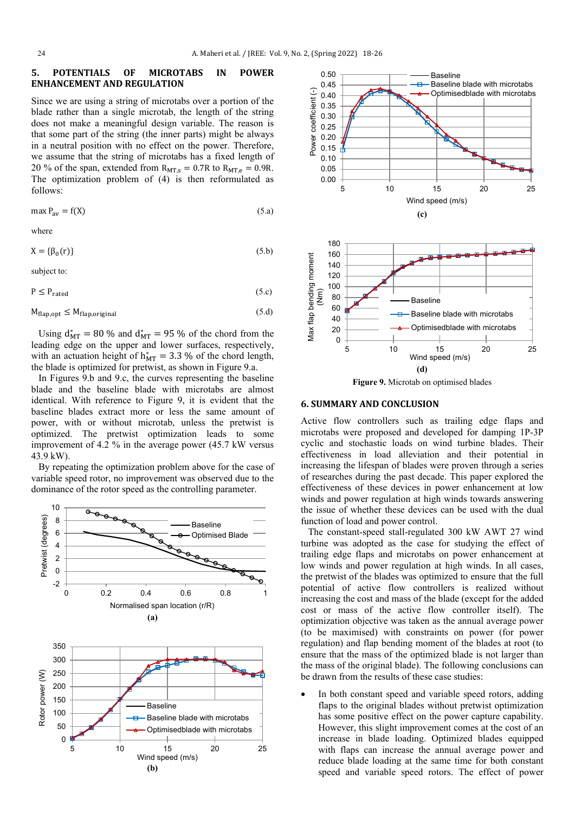#### **5. POTENTIALS OF MICROTABS IN POWER ENHANCEMENT AND REGULATION**

Since we are using a string of microtabs over a portion of the blade rather than a single microtab, the length of the string does not make a meaningful design variable. The reason is that some part of the string (the inner parts) might be always in a neutral position with no effect on the power. Therefore, we assume that the string of microtabs has a fixed length of 20 % of the span, extended from  $R_{MT,s} = 0.7R$  to  $R_{MT,e} = 0.9R$ . The optimization problem of (4) is then reformulated as follows:

$$
\max P_{\text{av}} = f(X) \tag{5.3}
$$

where

$$
X = \{\beta_0(r)\}\tag{5.b}
$$

subject to:

$$
P \le P_{\text{rated}} \tag{5.c}
$$

$$
M_{\text{flap,opt}} \le M_{\text{flap,original}} \tag{5. d}
$$

Using  $d_{MT}^* = 80\%$  and  $d_{MT}^* = 95\%$  of the chord from the leading edge on the upper and lower surfaces, respectively, with an actuation height of  $h_{MT}^* = 3.3$  % of the chord length, the blade is optimized for pretwist, as shown in Figure 9.a.

 In Figures 9.b and 9.c, the curves representing the baseline blade and the baseline blade with microtabs are almost identical. With reference to Figure 9, it is evident that the baseline blades extract more or less the same amount of power, with or without microtab, unless the pretwist is optimized. The pretwist optimization leads to some improvement of 4.2 % in the average power (45.7 kW versus 43.9 kW).

 By repeating the optimization problem above for the case of variable speed rotor, no improvement was observed due to the dominance of the rotor speed as the controlling parameter.







#### **6. SUMMARY AND CONCLUSION**

Active flow controllers such as trailing edge flaps and microtabs were proposed and developed for damping 1P-3P cyclic and stochastic loads on wind turbine blades. Their effectiveness in load alleviation and their potential in increasing the lifespan of blades were proven through a series of researches during the past decade. This paper explored the effectiveness of these devices in power enhancement at low winds and power regulation at high winds towards answering the issue of whether these devices can be used with the dual function of load and power control.

 The constant-speed stall-regulated 300 kW AWT 27 wind turbine was adopted as the case for studying the effect of trailing edge flaps and microtabs on power enhancement at low winds and power regulation at high winds. In all cases, the pretwist of the blades was optimized to ensure that the full potential of active flow controllers is realized without increasing the cost and mass of the blade (except for the added cost or mass of the active flow controller itself). The optimization objective was taken as the annual average power (to be maximised) with constraints on power (for power regulation) and flap bending moment of the blades at root (to ensure that the mass of the optimized blade is not larger than the mass of the original blade). The following conclusions can be drawn from the results of these case studies:

In both constant speed and variable speed rotors, adding flaps to the original blades without pretwist optimization has some positive effect on the power capture capability. However, this slight improvement comes at the cost of an increase in blade loading. Optimized blades equipped with flaps can increase the annual average power and reduce blade loading at the same time for both constant speed and variable speed rotors. The effect of power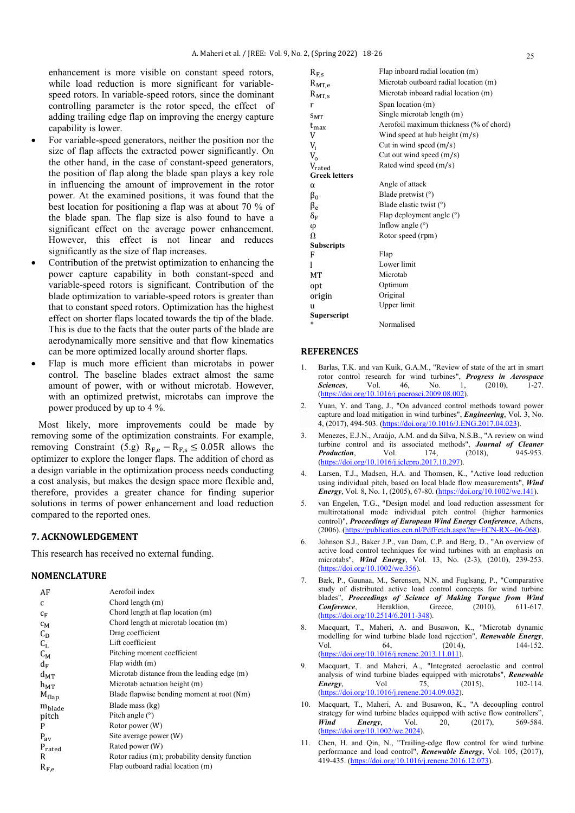enhancement is more visible on constant speed rotors, while load reduction is more significant for variablespeed rotors. In variable-speed rotors, since the dominant controlling parameter is the rotor speed, the effect of adding trailing edge flap on improving the energy capture capability is lower.

- For variable-speed generators, neither the position nor the size of flap affects the extracted power significantly. On the other hand, in the case of constant-speed generators, the position of flap along the blade span plays a key role in influencing the amount of improvement in the rotor power. At the examined positions, it was found that the best location for positioning a flap was at about 70 % of the blade span. The flap size is also found to have a significant effect on the average power enhancement. However, this effect is not linear and reduces significantly as the size of flap increases.
- Contribution of the pretwist optimization to enhancing the power capture capability in both constant-speed and variable-speed rotors is significant. Contribution of the blade optimization to variable-speed rotors is greater than that to constant speed rotors. Optimization has the highest effect on shorter flaps located towards the tip of the blade. This is due to the facts that the outer parts of the blade are aerodynamically more sensitive and that flow kinematics can be more optimized locally around shorter flaps.
- Flap is much more efficient than microtabs in power control. The baseline blades extract almost the same amount of power, with or without microtab. However, with an optimized pretwist, microtabs can improve the power produced by up to 4 %.

 Most likely, more improvements could be made by removing some of the optimization constraints. For example, removing Constraint (5.g)  $R_{F,e} - R_{F,s} \le 0.05R$  allows the optimizer to explore the longer flaps. The addition of chord as a design variable in the optimization process needs conducting a cost analysis, but makes the design space more flexible and, therefore, provides a greater chance for finding superior solutions in terms of power enhancement and load reduction compared to the reported ones.

## **7. ACKNOWLEDGEMENT**

This research has received no external funding.

#### **NOMENCLATURE**

| AF                 | Aerofoil index                                 |
|--------------------|------------------------------------------------|
| C                  | Chord length (m)                               |
| $c_F$              | Chord length at flap location (m)              |
| $c_M$              | Chord length at microtab location (m)          |
| $C_D$              | Drag coefficient                               |
| $C_{L}$            | Lift coefficient                               |
| $C_{M}$            | Pitching moment coefficient                    |
| $d_F$              | Flap width (m)                                 |
| $d_{MT}$           | Microtab distance from the leading edge (m)    |
| $h_{MT}$           | Microtab actuation height (m)                  |
| $M_{flap}$         | Blade flapwise bending moment at root (Nm)     |
| m <sub>blade</sub> | Blade mass (kg)                                |
| pitch              | Pitch angle $(°)$                              |
| P                  | Rotor power (W)                                |
| $P_{av}$           | Site average power (W)                         |
| $P_{\text{rated}}$ | Rated power (W)                                |
| R                  | Rotor radius (m); probability density function |
| $R_{F,e}$          | Flap outboard radial location (m)              |

| $R_{F,s}$            | Flap inboard radial location (m)        |
|----------------------|-----------------------------------------|
| $R_{MT,e}$           | Microtab outboard radial location (m)   |
| $R_{MT,s}$           | Microtab inboard radial location (m)    |
| r                    | Span location (m)                       |
| $S_{\rm MT}$         | Single microtab length (m)              |
| $t_{\rm max}$        | Aerofoil maximum thickness (% of chord) |
| V                    | Wind speed at hub height $(m/s)$        |
| $V_i$                | Cut in wind speed $(m/s)$               |
| $V_{0}$              | Cut out wind speed $(m/s)$              |
| $V_{\text{rated}}$   | Rated wind speed (m/s)                  |
| <b>Greek letters</b> |                                         |
| α                    | Angle of attack                         |
| $\beta_0$            | Blade pretwist (°)                      |
| $\beta_e$            | Blade elastic twist $(°)$               |
| $\delta_F$           | Flap deployment angle (°)               |
| φ                    | Inflow angle $(°)$                      |
| $\Omega$             | Rotor speed (rpm)                       |
| Subscripts           |                                         |
| F                    | Flap                                    |
|                      | Lower limit                             |
| МT                   | Microtab                                |
| opt                  | Optimum                                 |
| origin               | Original                                |
| u                    | Upper limit                             |
| Superscript          |                                         |
| *                    | Normalised                              |

#### **REFERENCES**

- Barlas, T.K. and van Kuik, G.A.M., "Review of state of the art in smart rotor control research for wind turbines", *Progress in Aerospace Sciences*, Vol. 46, No. 1, (2010), 1-27. [\(https://doi.org/10.1016/j.paerosci.2009.08.002\)](https://doi.org/10.1016/j.paerosci.2009.08.002).
- 2. Yuan, Y. and Tang, J., "On advanced control methods toward power capture and load mitigation in wind turbines", *Engineering*, Vol. 3, No. 4, (2017), 494-503. [\(https://doi.org/10.1016/J.ENG.2017.04.023\)](https://doi.org/10.1016/J.ENG.2017.04.023).
- 3. Menezes, E.J.N., Araújo, A.M. and da Silva, N.S.B., "A review on wind turbine control and its associated methods", *Journal of Cleaner Production.* Vol. 174. (2018). 945-953. *Production*. [\(https://doi.org/10.1016/j.jclepro.2017.10.297\)](https://doi.org/10.1016/j.jclepro.2017.10.297).
- Larsen, T.J., Madsen, H.A. and Thomsen, K., "Active load reduction using individual pitch, based on local blade flow measurements", *Wind Energy*, Vol. 8, No. 1, (2005), 67-80. [\(https://doi.org/10.1002/we.141\)](https://doi.org/10.1002/we.141).
- 5. van Engelen, T.G., "Design model and load reduction assessment for multirotational mode individual pitch control (higher harmonics control)", *Proceedings of European Wind Energy Conference*, Athens, (2006). [\(https://publicaties.ecn.nl/PdfFetch.aspx?nr=ECN-RX--06-068\)](https://publicaties.ecn.nl/PdfFetch.aspx?nr=ECN-RX--06-068).
- 6. Johnson S.J., Baker J.P., van Dam, C.P. and Berg, D., "An overview of active load control techniques for wind turbines with an emphasis on microtabs", *Wind Energy*, Vol. 13, No. (2-3), (2010), 239-253. [\(https://doi.org/10.1002/we.356\)](https://doi.org/10.1002/we.356).
- 7. Bæk, P., Gaunaa, M., Sørensen, N.N. and Fuglsang, P., "Comparative study of distributed active load control concepts for wind turbine blades", *Proceedings of Science of Making Torque from Wind Conference*, Heraklion, Greece, (2010), 611-617. [\(https://doi.org/10.2514/6.2011-348\)](https://doi.org/10.2514/6.2011-348).
- 8. Macquart, T., Maheri, A. and Busawon, K., "Microtab dynamic modelling for wind turbine blade load rejection", *Renewable Energy*, Vol 64 (2014) 144-152 Vol. 64, (2014), 144-152. [\(https://doi.org/10.1016/j.renene.2013.11.011\)](https://doi.org/10.1016/j.renene.2013.11.011).
- 9. Macquart, T. and Maheri, A., "Integrated aeroelastic and control analysis of wind turbine blades equipped with microtabs", **Renewable Energy.** Vol 75, (2015), 102-114. *Energy*, Vol 75, (2015), 102-114. [\(https://doi.org/10.1016/j.renene.2014.09.032\)](https://doi.org/10.1016/j.renene.2014.09.032).
- 10. Macquart, T., Maheri, A. and Busawon, K., "A decoupling control strategy for wind turbine blades equipped with active flow controllers",<br>Wind Energy Vol. 20 (2017) 569-584 **Wind Energy**, Vol. 20, (2017), [\(https://doi.org/10.1002/we.2024\)](https://doi.org/10.1002/we.2024).
- 11. Chen, H. and Qin, N., "Trailing-edge flow control for wind turbine performance and load control", *Renewable Energy*, Vol. 105, (2017), 419-435. [\(https://doi.org/10.1016/j.renene.2016.12.073\)](https://doi.org/10.1016/j.renene.2016.12.073).